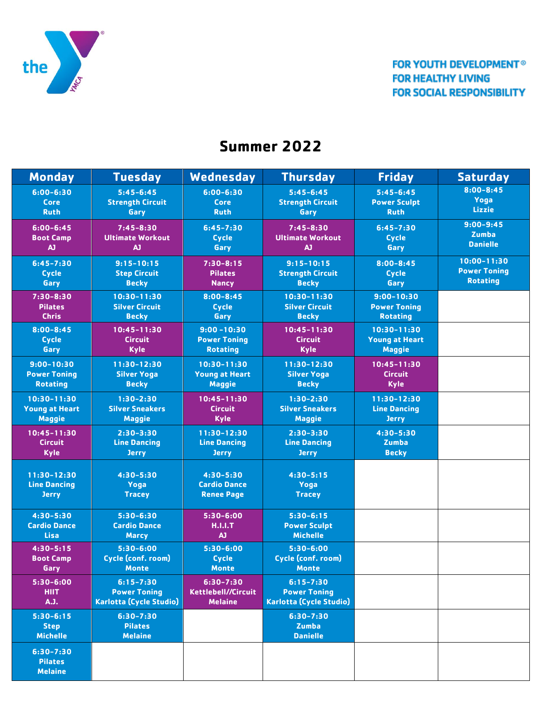

## **Summer 2022**

| <b>Monday</b>                                       | <b>Tuesday</b>                                                         | Wednesday                                                 | <b>Thursday</b>                                                        | <b>Friday</b>         | <b>Saturday</b>     |
|-----------------------------------------------------|------------------------------------------------------------------------|-----------------------------------------------------------|------------------------------------------------------------------------|-----------------------|---------------------|
| $6:00 - 6:30$                                       | $5:45 - 6:45$                                                          | $6:00 - 6:30$                                             | $5:45 - 6:45$                                                          | $5:45 - 6:45$         | $8:00 - 8:45$       |
| Core                                                | <b>Strength Circuit</b>                                                | <b>Core</b>                                               | <b>Strength Circuit</b>                                                | <b>Power Sculpt</b>   | Yoga                |
| <b>Ruth</b>                                         | Gary                                                                   | <b>Ruth</b>                                               | Gary                                                                   | <b>Ruth</b>           | <b>Lizzie</b>       |
| $6:00 - 6:45$                                       | $7:45 - 8:30$                                                          | $6:45 - 7:30$                                             | $7:45 - 8:30$                                                          | $6:45 - 7:30$         | $9:00 - 9:45$       |
| <b>Boot Camp</b>                                    | <b>Ultimate Workout</b>                                                | <b>Cycle</b>                                              | <b>Ultimate Workout</b>                                                | <b>Cycle</b>          | <b>Zumba</b>        |
| AJ                                                  | A <sub>1</sub>                                                         | Gary                                                      | A <sub>J</sub>                                                         | Gary                  | <b>Danielle</b>     |
| $6:45 - 7:30$                                       | $9:15 - 10:15$                                                         | $7:30 - 8:15$                                             | $9:15 - 10:15$                                                         | $8:00 - 8:45$         | $10:00 - 11:30$     |
| Cycle                                               | <b>Step Circuit</b>                                                    | <b>Pilates</b>                                            | <b>Strength Circuit</b>                                                | <b>Cycle</b>          | <b>Power Toning</b> |
| Gary                                                | <b>Becky</b>                                                           | <b>Nancy</b>                                              | <b>Becky</b>                                                           | Gary                  | <b>Rotating</b>     |
| $7:30 - 8:30$                                       | $10:30 - 11:30$                                                        | $8:00 - 8:45$                                             | $10:30 - 11:30$                                                        | $9:00 - 10:30$        |                     |
| <b>Pilates</b>                                      | <b>Silver Circuit</b>                                                  | <b>Cycle</b>                                              | <b>Silver Circuit</b>                                                  | <b>Power Toning</b>   |                     |
| <b>Chris</b>                                        | <b>Becky</b>                                                           | Gary                                                      | <b>Becky</b>                                                           | <b>Rotating</b>       |                     |
| $8:00 - 8:45$                                       | 10:45-11:30                                                            | $9:00 - 10:30$                                            | $10:45 - 11:30$                                                        | $10:30 - 11:30$       |                     |
| <b>Cycle</b>                                        | <b>Circuit</b>                                                         | <b>Power Toning</b>                                       | <b>Circuit</b>                                                         | <b>Young at Heart</b> |                     |
| Gary                                                | <b>Kyle</b>                                                            | <b>Rotating</b>                                           | <b>Kyle</b>                                                            | <b>Maggie</b>         |                     |
| $9:00 - 10:30$                                      | 11:30-12:30                                                            | $10:30 - 11:30$                                           | $11:30-12:30$                                                          | 10:45-11:30           |                     |
| <b>Power Toning</b>                                 | <b>Silver Yoga</b>                                                     | <b>Young at Heart</b>                                     | <b>Silver Yoga</b>                                                     | <b>Circuit</b>        |                     |
| <b>Rotating</b>                                     | <b>Becky</b>                                                           | <b>Maggie</b>                                             | <b>Becky</b>                                                           | <b>Kyle</b>           |                     |
| $10:30 - 11:30$                                     | $1:30 - 2:30$                                                          | $10:45 - 11:30$                                           | $1:30 - 2:30$                                                          | $11:30-12:30$         |                     |
| <b>Young at Heart</b>                               | <b>Silver Sneakers</b>                                                 | <b>Circuit</b>                                            | <b>Silver Sneakers</b>                                                 | <b>Line Dancing</b>   |                     |
| <b>Maggie</b>                                       | <b>Maggie</b>                                                          | <b>Kyle</b>                                               | <b>Maggie</b>                                                          | <b>Jerry</b>          |                     |
| $10:45 - 11:30$                                     | $2:30 - 3:30$                                                          | 11:30-12:30                                               | $2:30 - 3:30$                                                          | $4:30 - 5:30$         |                     |
| <b>Circuit</b>                                      | <b>Line Dancing</b>                                                    | <b>Line Dancing</b>                                       | <b>Line Dancing</b>                                                    | <b>Zumba</b>          |                     |
| <b>Kyle</b>                                         | <b>Jerry</b>                                                           | <b>Jerry</b>                                              | <b>Jerry</b>                                                           | <b>Becky</b>          |                     |
| 11:30-12:30<br><b>Line Dancing</b><br><b>Jerry</b>  | $4:30 - 5:30$<br>Yoga<br><b>Tracey</b>                                 | $4:30 - 5:30$<br><b>Cardio Dance</b><br><b>Renee Page</b> | $4:30 - 5:15$<br>Yoga<br><b>Tracey</b>                                 |                       |                     |
| $4:30 - 5:30$<br><b>Cardio Dance</b><br><b>Lisa</b> | $5:30 - 6:30$<br><b>Cardio Dance</b><br><b>Marcy</b>                   | $5:30 - 6:00$<br><b>H.I.I.T</b><br>AJ                     | $5:30 - 6:15$<br><b>Power Sculpt</b><br><b>Michelle</b>                |                       |                     |
| $4:30 - 5:15$<br><b>Boot Camp</b><br>Gary           | $5:30 - 6:00$<br>Cycle (conf. room)<br><b>Monte</b>                    | $5:30 - 6:00$<br><b>Cycle</b><br><b>Monte</b>             | $5:30 - 6:00$<br>Cycle (conf. room)<br><b>Monte</b>                    |                       |                     |
| $5:30 - 6:00$<br><b>HIIT</b><br>A.J.                | $6:15 - 7:30$<br><b>Power Toning</b><br><b>Karlotta (Cycle Studio)</b> | $6:30 - 7:30$<br>Kettlebell//Circuit<br><b>Melaine</b>    | $6:15 - 7:30$<br><b>Power Toning</b><br><b>Karlotta (Cycle Studio)</b> |                       |                     |
| $5:30 - 6:15$<br><b>Step</b><br><b>Michelle</b>     | $6:30 - 7:30$<br><b>Pilates</b><br><b>Melaine</b>                      |                                                           | $6:30 - 7:30$<br><b>Zumba</b><br><b>Danielle</b>                       |                       |                     |
| $6:30 - 7:30$<br><b>Pilates</b><br><b>Melaine</b>   |                                                                        |                                                           |                                                                        |                       |                     |